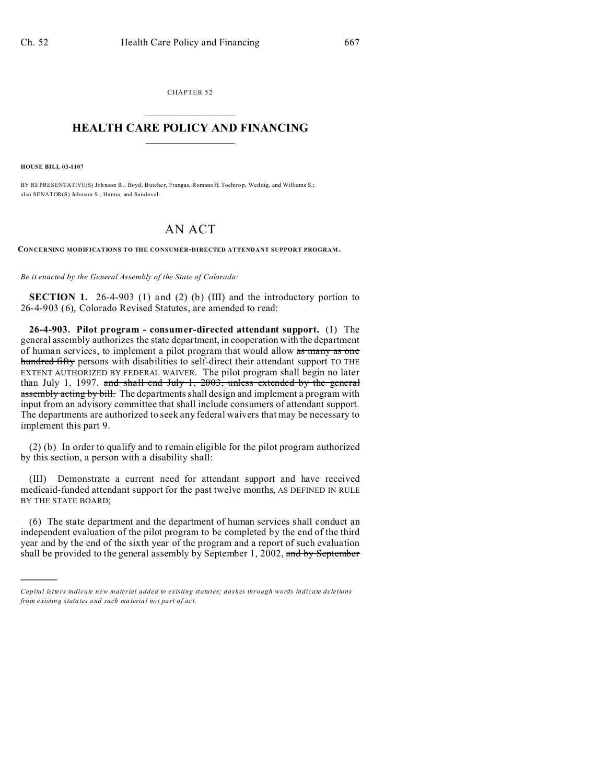CHAPTER 52  $\overline{\phantom{a}}$  , where  $\overline{\phantom{a}}$ 

## **HEALTH CARE POLICY AND FINANCING**  $\_$   $\_$   $\_$   $\_$   $\_$   $\_$   $\_$   $\_$

**HOUSE BILL 03-1107**

)))))

BY REPRESENTATIVE(S) Johnson R., Boyd, Butcher, Frangas, Romanoff, Tochtrop, Weddig, and Williams S.; also SENATOR(S) Johnson S., Hanna, and Sandoval.

## AN ACT

**CONCERNING MODIFICATIONS TO THE CONSUMER-DIRECTED ATTENDANT SUPPORT PROGRAM.**

*Be it enacted by the General Assembly of the State of Colorado:*

**SECTION 1.** 26-4-903 (1) and (2) (b) (III) and the introductory portion to 26-4-903 (6), Colorado Revised Statutes, are amended to read:

**26-4-903. Pilot program - consumer-directed attendant support.** (1) The general assembly authorizes the state department, in cooperation with the department of human services, to implement a pilot program that would allow as many as one hundred fifty persons with disabilities to self-direct their attendant support TO THE EXTENT AUTHORIZED BY FEDERAL WAIVER. The pilot program shall begin no later than July 1, 1997. and shall end July 1, 2003, unless extended by the general assembly acting by bill. The departments shall design and implement a program with input from an advisory committee that shall include consumers of attendant support. The departments are authorized to seek any federal waivers that may be necessary to implement this part 9.

(2) (b) In order to qualify and to remain eligible for the pilot program authorized by this section, a person with a disability shall:

(III) Demonstrate a current need for attendant support and have received medicaid-funded attendant support for the past twelve months, AS DEFINED IN RULE BY THE STATE BOARD;

(6) The state department and the department of human services shall conduct an independent evaluation of the pilot program to be completed by the end of the third year and by the end of the sixth year of the program and a report of such evaluation shall be provided to the general assembly by September 1, 2002, and by September

*Capital letters indicate new material added to existing statutes; dashes through words indicate deletions from e xistin g statu tes a nd such ma teria l no t pa rt of ac t.*